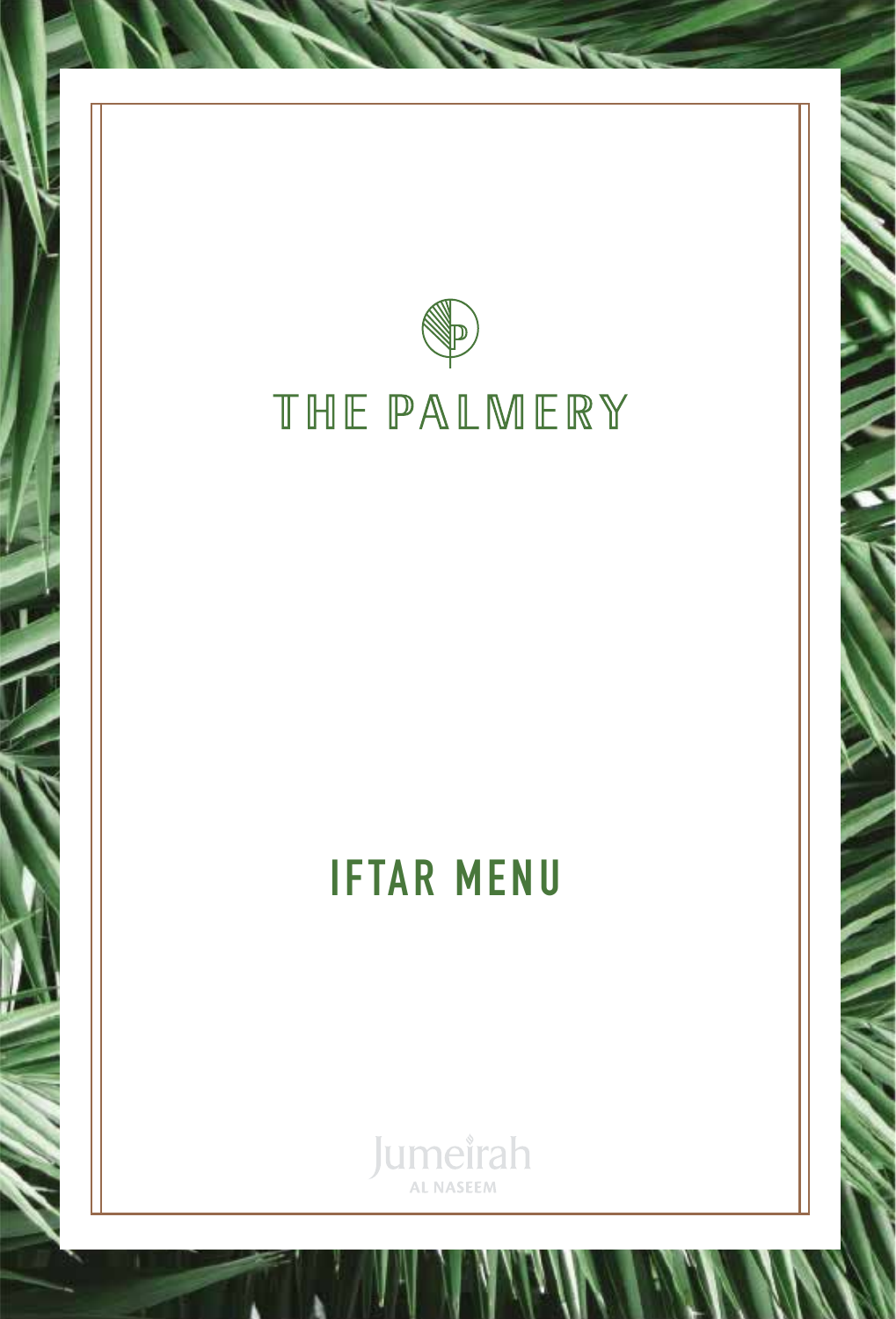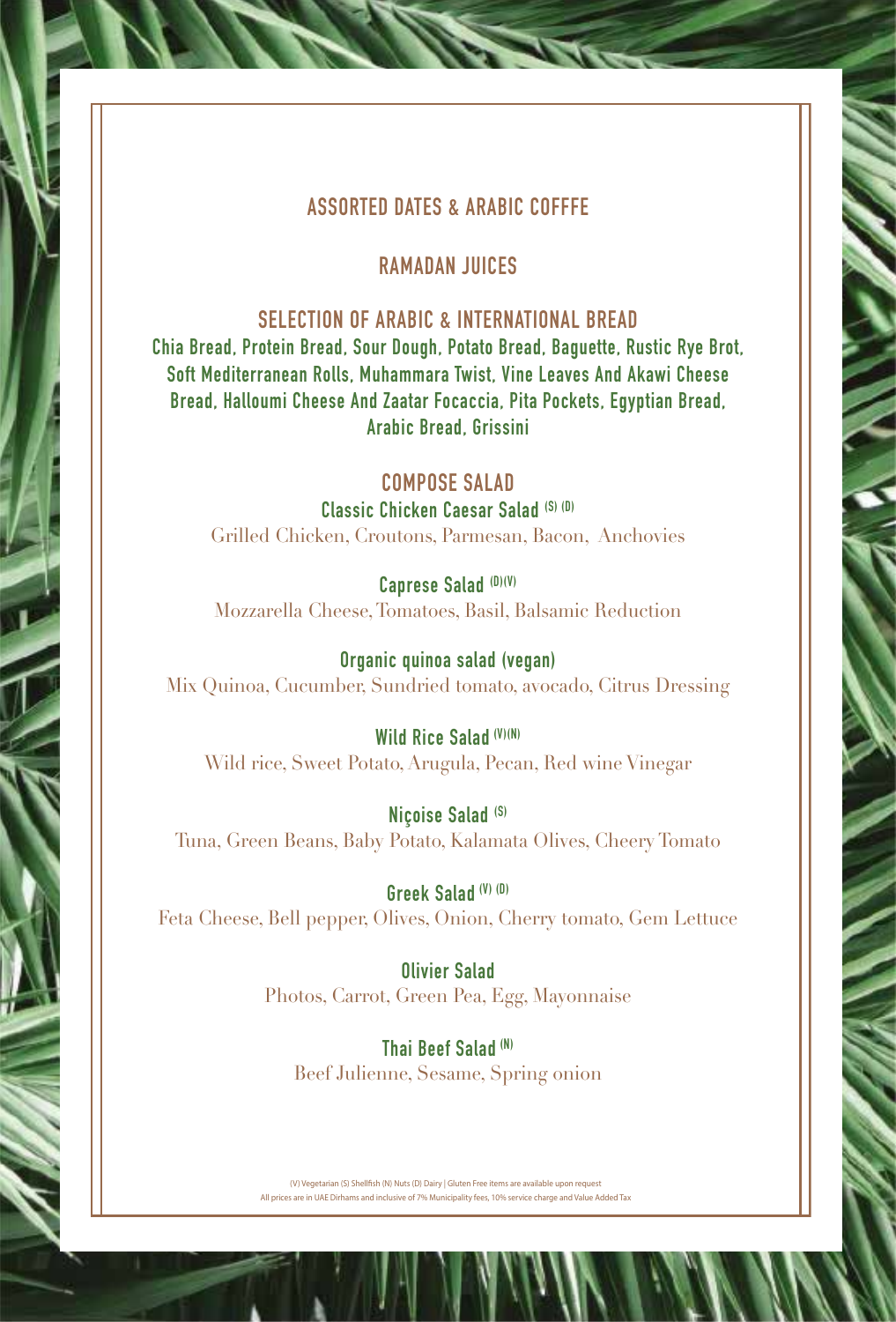# **ASSORTED DATES & ARABIC COFFFE**

## **RAMADAN JUICES**

## **SELECTION OF ARABIC & INTERNATIONAL BREAD**

**Chia Bread, Protein Bread, Sour Dough, Potato Bread, Baguette, Rustic Rye Brot, Soft Mediterranean Rolls, Muhammara Twist, Vine Leaves And Akawi Cheese Bread, Halloumi Cheese And Zaatar Focaccia, Pita Pockets, Egyptian Bread, Arabic Bread, Grissini**

# **COMPOSE SALAD**

#### **Classic Chicken Caesar Salad (S) (D)**

Grilled Chicken, Croutons, Parmesan, Bacon, Anchovies

**Caprese Salad (D)(V)** Mozzarella Cheese, Tomatoes, Basil, Balsamic Reduction

**Organic quinoa salad (vegan)** Mix Quinoa, Cucumber, Sundried tomato, avocado, Citrus Dressing

#### **Wild Rice Salad (V)(N)**

Wild rice, Sweet Potato, Arugula, Pecan, Red wine Vinegar

**Niçoise Salad (S)** Tuna, Green Beans, Baby Potato, Kalamata Olives, Cheery Tomato

**Greek Salad (V) (D)** Feta Cheese, Bell pepper, Olives, Onion, Cherry tomato, Gem Lettuce

> **Olivier Salad** Photos, Carrot, Green Pea, Egg, Mayonnaise

**Thai Beef Salad (N)** Beef Julienne, Sesame, Spring onion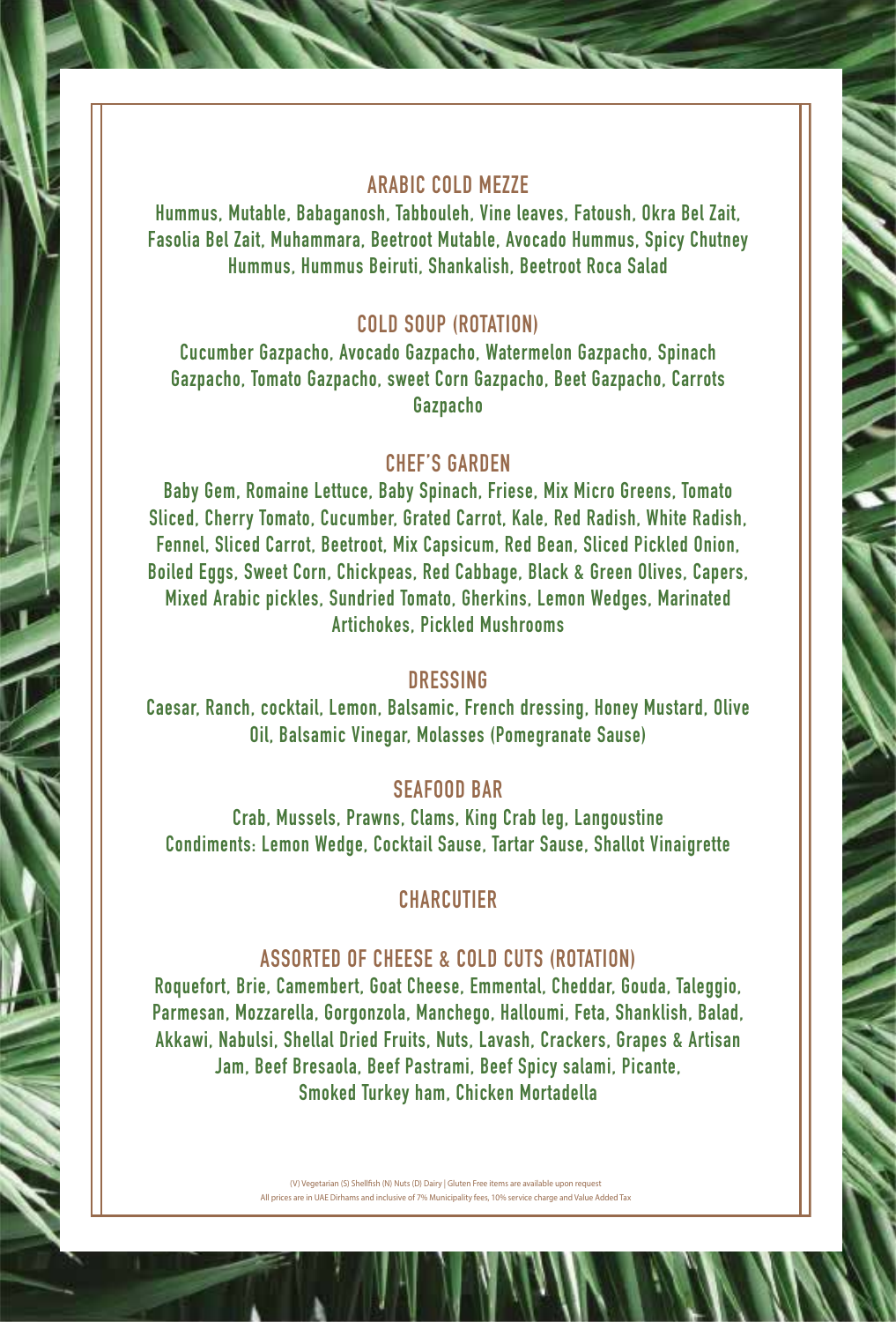# **ARABIC COLD MEZZE**

**Hummus, Mutable, Babaganosh, Tabbouleh, Vine leaves, Fatoush, Okra Bel Zait, Fasolia Bel Zait, Muhammara, Beetroot Mutable, Avocado Hummus, Spicy Chutney Hummus, Hummus Beiruti, Shankalish, Beetroot Roca Salad**

# **COLD SOUP (ROTATION)**

**Cucumber Gazpacho, Avocado Gazpacho, Watermelon Gazpacho, Spinach Gazpacho, Tomato Gazpacho, sweet Corn Gazpacho, Beet Gazpacho, Carrots Gazpacho** 

### **CHEF'S GARDEN**

**Baby Gem, Romaine Lettuce, Baby Spinach, Friese, Mix Micro Greens, Tomato Sliced, Cherry Tomato, Cucumber, Grated Carrot, Kale, Red Radish, White Radish, Fennel, Sliced Carrot, Beetroot, Mix Capsicum, Red Bean, Sliced Pickled Onion, Boiled Eggs, Sweet Corn, Chickpeas, Red Cabbage, Black & Green Olives, Capers, Mixed Arabic pickles, Sundried Tomato, Gherkins, Lemon Wedges, Marinated Artichokes, Pickled Mushrooms**

#### **DRESSING**

**Caesar, Ranch, cocktail, Lemon, Balsamic, French dressing, Honey Mustard, Olive Oil, Balsamic Vinegar, Molasses (Pomegranate Sause)**

### **SEAFOOD BAR**

**Crab, Mussels, Prawns, Clams, King Crab leg, Langoustine Condiments: Lemon Wedge, Cocktail Sause, Tartar Sause, Shallot Vinaigrette**

# **CHARCUTIER**

#### **ASSORTED OF CHEESE & COLD CUTS (ROTATION)**

**Roquefort, Brie, Camembert, Goat Cheese, Emmental, Cheddar, Gouda, Taleggio, Parmesan, Mozzarella, Gorgonzola, Manchego, Halloumi, Feta, Shanklish, Balad, Akkawi, Nabulsi, Shellal Dried Fruits, Nuts, Lavash, Crackers, Grapes & Artisan Jam, Beef Bresaola, Beef Pastrami, Beef Spicy salami, Picante, Smoked Turkey ham, Chicken Mortadella**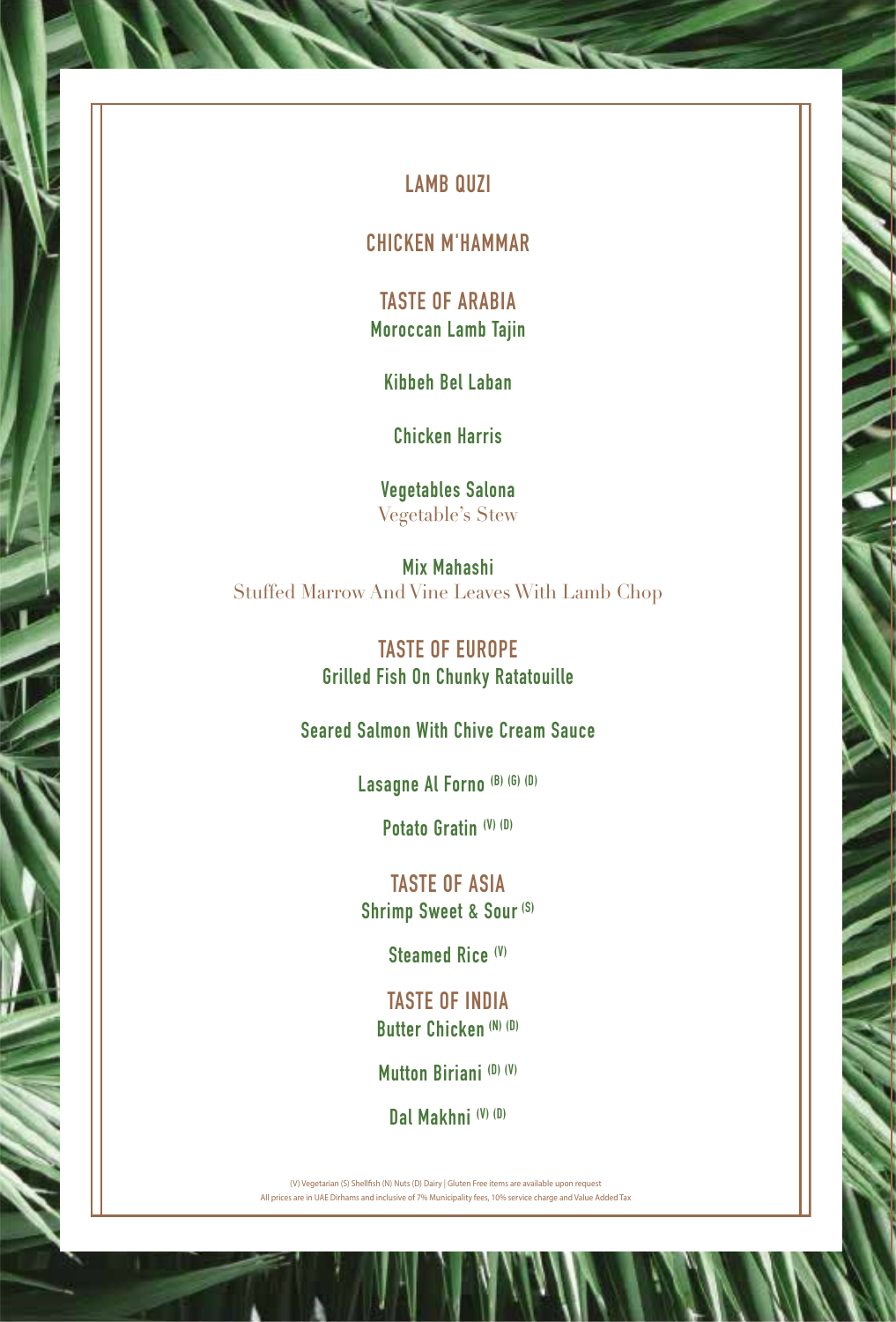# **LAMB QUZI**

**CHICKEN M'HAMMAR**

**TASTE OF ARABIA Moroccan Lamb Tajin** 

**Kibbeh Bel Laban** 

**Chicken Harris** 

**Vegetables Salona** Vegetable's Stew

**Mix Mahashi** Stuffed Marrow And Vine Leaves With Lamb Chop

> **TASTE OF EUROPE Grilled Fish On Chunky Ratatouille**

**Seared Salmon With Chive Cream Sauce**

**Lasagne Al Forno (B) (G) (D)**

**Potato Gratin (V) (D)**

**TASTE OF ASIA Shrimp Sweet & Sour (S)**

**Steamed Rice (V)**

**TASTE OF INDIA Butter Chicken (N) (D)**

**Mutton Biriani (D) (V)**

**Dal Makhni (V) (D)**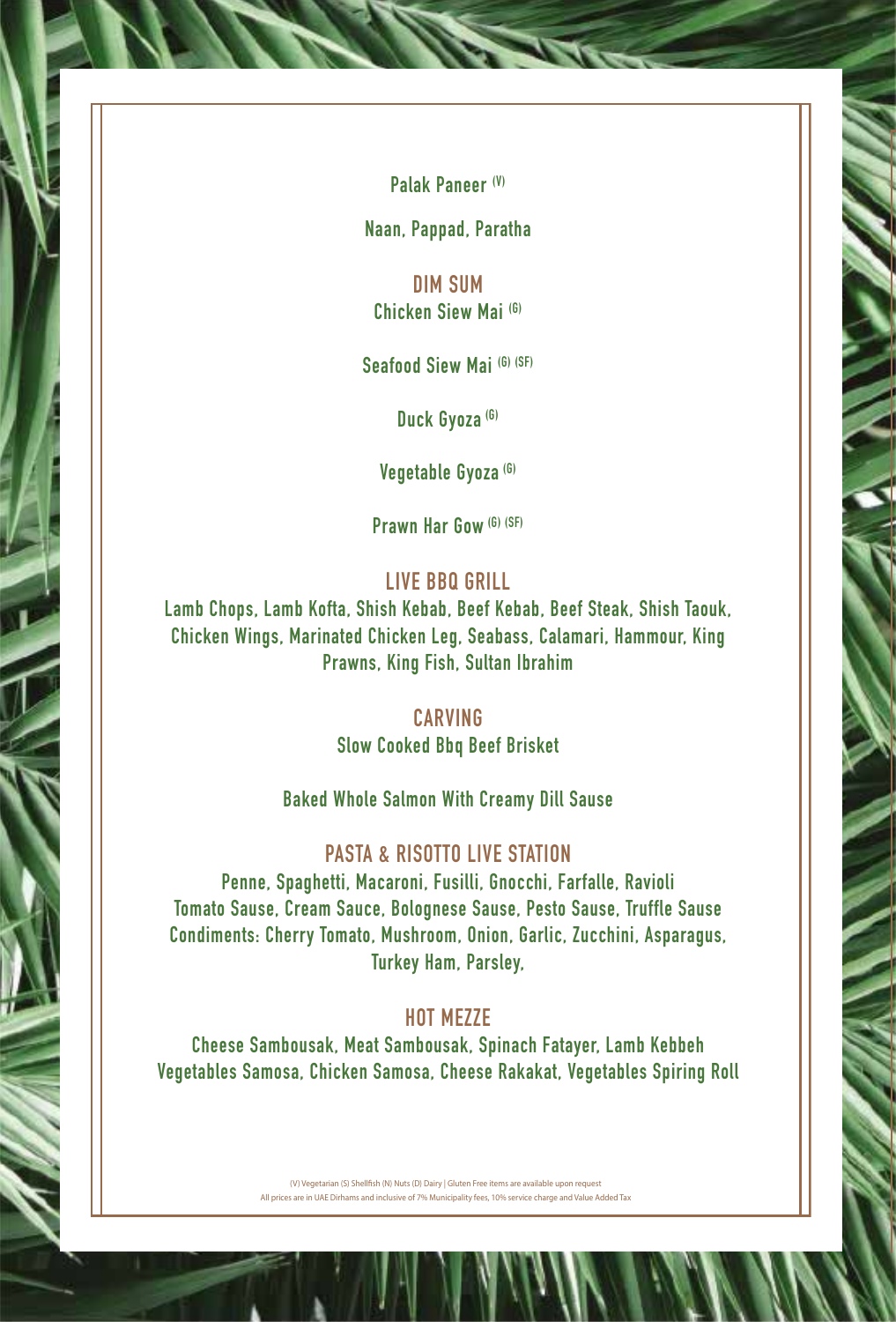**Palak Paneer (V)**

**Naan, Pappad, Paratha**

**DIM SUM Chicken Siew Mai (G)**

**Seafood Siew Mai (G) (SF)**

**Duck Gyoza (G)**

**Vegetable Gyoza (G)**

**Prawn Har Gow (G) (SF)**

## **LIVE BBQ GRILL**

**Lamb Chops, Lamb Kofta, Shish Kebab, Beef Kebab, Beef Steak, Shish Taouk, Chicken Wings, Marinated Chicken Leg, Seabass, Calamari, Hammour, King Prawns, King Fish, Sultan Ibrahim**

### **CARVING**

**Slow Cooked Bbq Beef Brisket** 

**Baked Whole Salmon With Creamy Dill Sause** 

#### **PASTA & RISOTTO LIVE STATION**

**Penne, Spaghetti, Macaroni, Fusilli, Gnocchi, Farfalle, Ravioli Tomato Sause, Cream Sauce, Bolognese Sause, Pesto Sause, Truffle Sause Condiments: Cherry Tomato, Mushroom, Onion, Garlic, Zucchini, Asparagus, Turkey Ham, Parsley,** 

# **HOT MEZZE**

**Cheese Sambousak, Meat Sambousak, Spinach Fatayer, Lamb Kebbeh Vegetables Samosa, Chicken Samosa, Cheese Rakakat, Vegetables Spiring Roll**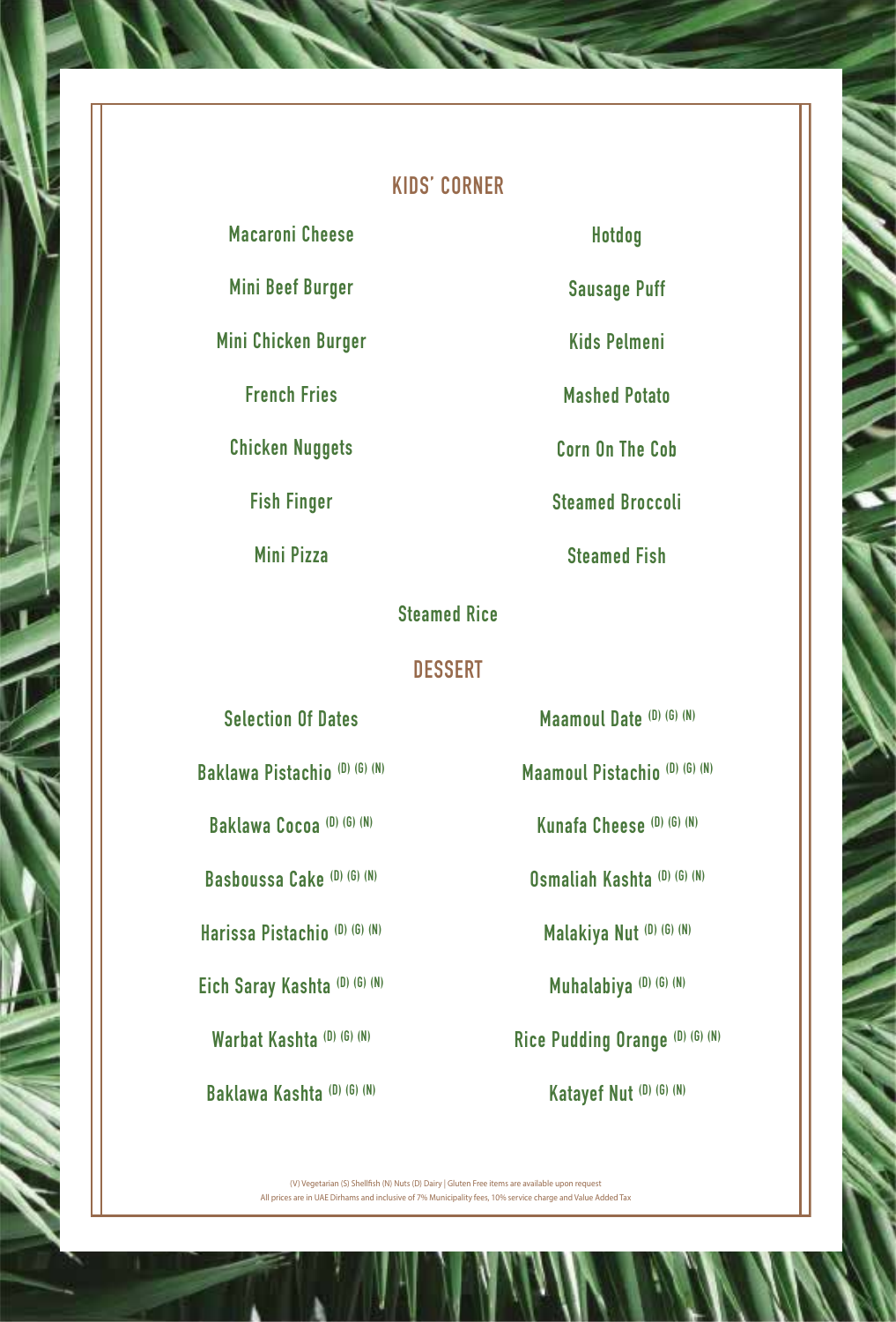# **KIDS' CORNER**

**Macaroni Cheese**

**Mini Beef Burger** 

**Mini Chicken Burger** 

**French Fries**

**Chicken Nuggets** 

**Fish Finger** 

**Mini Pizza** 

**Hotdog** 

**STE** 

**Sausage Puff**

**Kids Pelmeni**

**Mashed Potato** 

**Corn On The Cob** 

**Steamed Broccoli** 

**Steamed Fish** 

## **Steamed Rice**

### **DESSERT**

**Selection Of Dates**

**Baklawa Pistachio (D) (G) (N)**

**Baklawa Cocoa (D) (G) (N)**

**Basboussa Cake (D) (G) (N)**

**Harissa Pistachio (D) (G) (N)**

**Eich Saray Kashta (D) (G) (N)**

**Warbat Kashta (D) (G) (N)**

**Baklawa Kashta (D) (G) (N)**

**Maamoul Date (D) (G) (N)**

**Maamoul Pistachio (D) (G) (N)**

**Kunafa Cheese (D) (G) (N)**

**Osmaliah Kashta (D) (G) (N)**

**Malakiya Nut (D) (G) (N)**

**Muhalabiya (D) (G) (N)**

**Rice Pudding Orange (D) (G) (N)**

**Katayef Nut (D) (G) (N)**